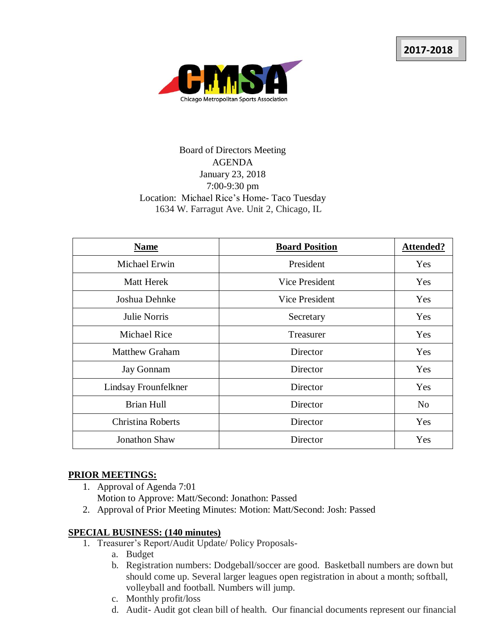

# Board of Directors Meeting AGENDA January 23, 2018 7:00-9:30 pm Location: Michael Rice's Home- Taco Tuesday 1634 W. Farragut Ave. Unit 2, Chicago, IL

| <b>Name</b>           | <b>Board Position</b> | <b>Attended?</b> |
|-----------------------|-----------------------|------------------|
| Michael Erwin         | President             | Yes              |
| <b>Matt Herek</b>     | Vice President        | Yes              |
| Joshua Dehnke         | Vice President        | Yes              |
| Julie Norris          | Secretary             | Yes              |
| <b>Michael Rice</b>   | Treasurer             | Yes              |
| <b>Matthew Graham</b> | Director              | Yes              |
| Jay Gonnam            | Director              | Yes              |
| Lindsay Frounfelkner  | Director              | Yes              |
| <b>Brian Hull</b>     | Director              | N <sub>0</sub>   |
| Christina Roberts     | Director              | Yes              |
| <b>Jonathon Shaw</b>  | Director              | Yes              |

#### **PRIOR MEETINGS:**

- 1. Approval of Agenda 7:01
	- Motion to Approve: Matt/Second: Jonathon: Passed
- 2. Approval of Prior Meeting Minutes: Motion: Matt/Second: Josh: Passed

#### **SPECIAL BUSINESS: (140 minutes)**

- 1. Treasurer's Report/Audit Update/ Policy Proposals
	- a. Budget
	- b. Registration numbers: Dodgeball/soccer are good. Basketball numbers are down but should come up. Several larger leagues open registration in about a month; softball, volleyball and football. Numbers will jump.
	- c. Monthly profit/loss
	- d. Audit- Audit got clean bill of health. Our financial documents represent our financial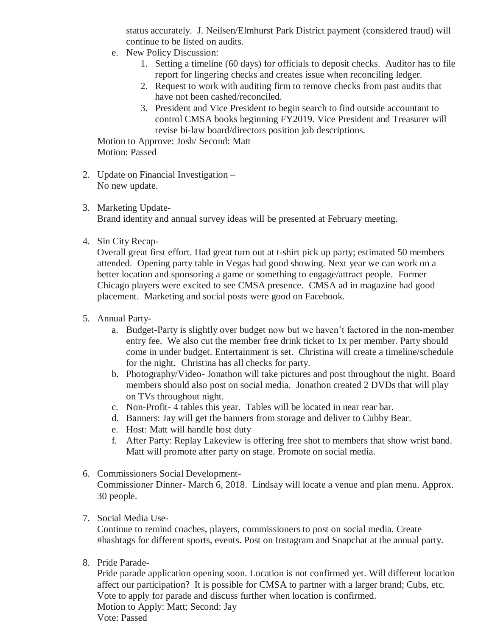status accurately. J. Neilsen/Elmhurst Park District payment (considered fraud) will continue to be listed on audits.

- e. New Policy Discussion:
	- 1. Setting a timeline (60 days) for officials to deposit checks. Auditor has to file report for lingering checks and creates issue when reconciling ledger.
	- 2. Request to work with auditing firm to remove checks from past audits that have not been cashed/reconciled.
	- 3. President and Vice President to begin search to find outside accountant to control CMSA books beginning FY2019. Vice President and Treasurer will revise bi-law board/directors position job descriptions.

Motion to Approve: Josh/ Second: Matt Motion: Passed

- 2. Update on Financial Investigation No new update.
- 3. Marketing Update-Brand identity and annual survey ideas will be presented at February meeting.
- 4. Sin City Recap-

Overall great first effort. Had great turn out at t-shirt pick up party; estimated 50 members attended. Opening party table in Vegas had good showing. Next year we can work on a better location and sponsoring a game or something to engage/attract people. Former Chicago players were excited to see CMSA presence. CMSA ad in magazine had good placement. Marketing and social posts were good on Facebook.

- 5. Annual Party
	- a. Budget-Party is slightly over budget now but we haven't factored in the non-member entry fee. We also cut the member free drink ticket to 1x per member. Party should come in under budget. Entertainment is set. Christina will create a timeline/schedule for the night. Christina has all checks for party.
	- b. Photography/Video- Jonathon will take pictures and post throughout the night. Board members should also post on social media. Jonathon created 2 DVDs that will play on TVs throughout night.
	- c. Non-Profit- 4 tables this year. Tables will be located in near rear bar.
	- d. Banners: Jay will get the banners from storage and deliver to Cubby Bear.
	- e. Host: Matt will handle host duty
	- f. After Party: Replay Lakeview is offering free shot to members that show wrist band. Matt will promote after party on stage. Promote on social media.
- 6. Commissioners Social Development-Commissioner Dinner- March 6, 2018. Lindsay will locate a venue and plan menu. Approx. 30 people.
- 7. Social Media Use-

Continue to remind coaches, players, commissioners to post on social media. Create #hashtags for different sports, events. Post on Instagram and Snapchat at the annual party.

8. Pride Parade-

Pride parade application opening soon. Location is not confirmed yet. Will different location affect our participation? It is possible for CMSA to partner with a larger brand; Cubs, etc. Vote to apply for parade and discuss further when location is confirmed. Motion to Apply: Matt; Second: Jay Vote: Passed